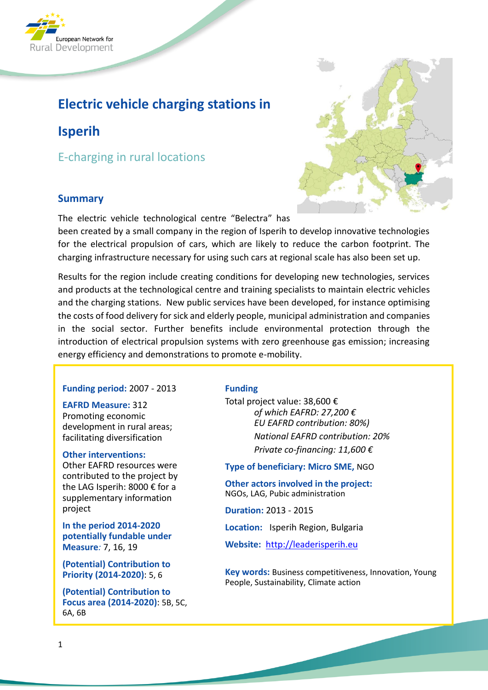

# **Electric vehicle charging stations in**

# **Isperih**

E-charging in rural locations

## **Summary**

The electric vehicle technological centre "Belectra" has



Results for the region include creating conditions for developing new technologies, services and products at the technological centre and training specialists to maintain electric vehicles and the charging stations. New public services have been developed, for instance optimising the costs of food delivery for sick and elderly people, municipal administration and companies in the social sector. Further benefits include environmental protection through the introduction of electrical propulsion systems with zero greenhouse gas emission; increasing energy efficiency and demonstrations to promote e-mobility.

#### **Funding period:** 2007 - 2013

**EAFRD Measure:** 312 Promoting economic development in rural areas; facilitating diversification

#### **Other interventions:**

Other EAFRD resources were contributed to the project by the LAG Isperih: 8000 € for a supplementary information project

**In the period 2014-2020 potentially fundable under Measure***:* 7, 16, 19

**(Potential) Contribution to Priority (2014-2020)**: 5, 6

**(Potential) Contribution to Focus area (2014-2020)**: 5B, 5C, 6A, 6B

#### **Funding**

Total project value: 38,600 € *of which EAFRD: 27,200 € EU EAFRD contribution: 80%) National EAFRD contribution: 20% Private co-financing: 11,600 €*

**Type of beneficiary: Micro SME,** NGO

**Other actors involved in the project:** NGOs, LAG, Pubic administration

**Duration:** 2013 - 2015

**Location:** Isperih Region, Bulgaria

**Website:** [http://leaderisperih.eu](http://leaderisperih.eu/)

**Key words:** Business competitiveness, Innovation, Young People, Sustainability, Climate action

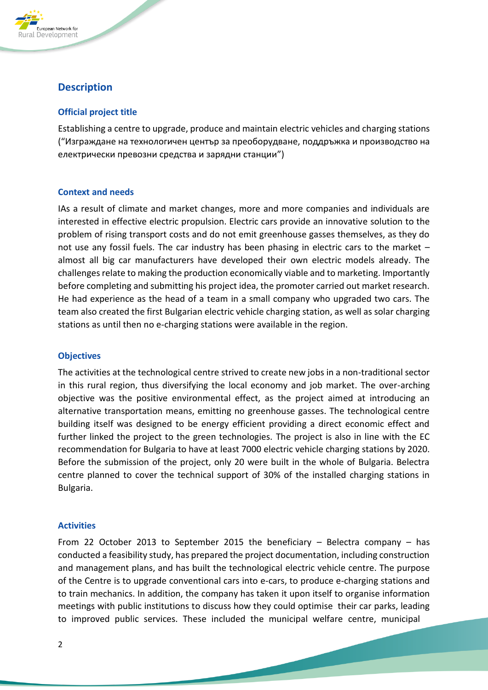

# **Description**

### **Official project title**

Establishing a centre to upgrade, produce and maintain electric vehicles and charging stations ("Изграждане на технологичен център за преоборудване, поддръжка и производство на електрически превозни средства и зарядни станции")

#### **Context and needs**

IAs a result of climate and market changes, more and more companies and individuals are interested in effective electric propulsion. Electric cars provide an innovative solution to the problem of rising transport costs and do not emit greenhouse gasses themselves, as they do not use any fossil fuels. The car industry has been phasing in electric cars to the market – almost all big car manufacturers have developed their own electric models already. The challenges relate to making the production economically viable and to marketing. Importantly before completing and submitting his project idea, the promoter carried out market research. He had experience as the head of a team in a small company who upgraded two cars. The team also created the first Bulgarian electric vehicle charging station, as well as solar charging stations as until then no e-charging stations were available in the region.

#### **Objectives**

The activities at the technological centre strived to create new jobs in a non-traditional sector in this rural region, thus diversifying the local economy and job market. The over-arching objective was the positive environmental effect, as the project aimed at introducing an alternative transportation means, emitting no greenhouse gasses. The technological centre building itself was designed to be energy efficient providing a direct economic effect and further linked the project to the green technologies. The project is also in line with the EC recommendation for Bulgaria to have at least 7000 electric vehicle charging stations by 2020. Before the submission of the project, only 20 were built in the whole of Bulgaria. Belectra centre planned to cover the technical support of 30% of the installed charging stations in Bulgaria.

#### **Activities**

From 22 October 2013 to September 2015 the beneficiary – Belectra company – has conducted a feasibility study, has prepared the project documentation, including construction and management plans, and has built the technological electric vehicle centre. The purpose of the Centre is to upgrade conventional cars into e-cars, to produce e-charging stations and to train mechanics. In addition, the company has taken it upon itself to organise information meetings with public institutions to discuss how they could optimise their car parks, leading to improved public services. These included the municipal welfare centre, municipal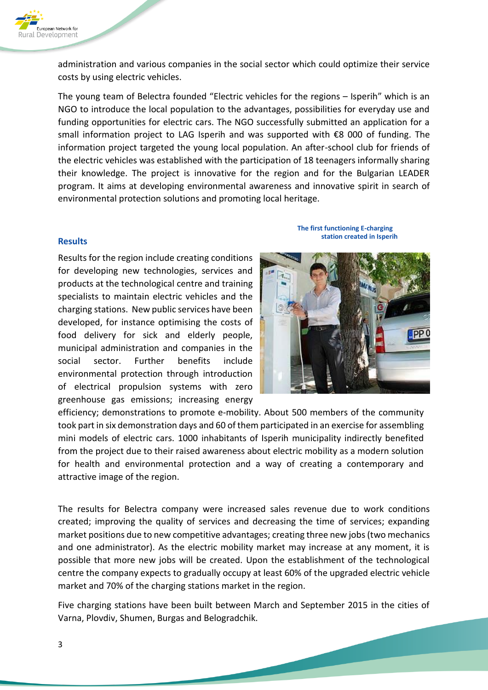

administration and various companies in the social sector which could optimize their service costs by using electric vehicles.

The young team of Belectra founded "Electric vehicles for the regions – Isperih" which is an NGO to introduce the local population to the advantages, possibilities for everyday use and funding opportunities for electric cars. The NGO successfully submitted an application for a small information project to LAG Isperih and was supported with €8 000 of funding. The information project targeted the young local population. An after-school club for friends of the electric vehicles was established with the participation of 18 teenagers informally sharing their knowledge. The project is innovative for the region and for the Bulgarian LEADER program. It aims at developing environmental awareness and innovative spirit in search of environmental protection solutions and promoting local heritage.

#### **Results**

Results for the region include creating conditions for developing new technologies, services and products at the technological centre and training specialists to maintain electric vehicles and the charging stations. New public services have been developed, for instance optimising the costs of food delivery for sick and elderly people, municipal administration and companies in the social sector. Further benefits include environmental protection through introduction of electrical propulsion systems with zero greenhouse gas emissions; increasing energy

**The first functioning E-charging station created in Isperih**



efficiency; demonstrations to promote e-mobility. About 500 members of the community took part in six demonstration days and 60 of them participated in an exercise for assembling mini models of electric cars. 1000 inhabitants of Isperih municipality indirectly benefited from the project due to their raised awareness about electric mobility as a modern solution for health and environmental protection and a way of creating a contemporary and attractive image of the region.

The results for Belectra company were increased sales revenue due to work conditions created; improving the quality of services and decreasing the time of services; expanding market positions due to new competitive advantages; creating three new jobs (two mechanics and one administrator). As the electric mobility market may increase at any moment, it is possible that more new jobs will be created. Upon the establishment of the technological centre the company expects to gradually occupy at least 60% of the upgraded electric vehicle market and 70% of the charging stations market in the region.

Five charging stations have been built between March and September 2015 in the cities of Varna, Plovdiv, Shumen, Burgas and Belogradchik.